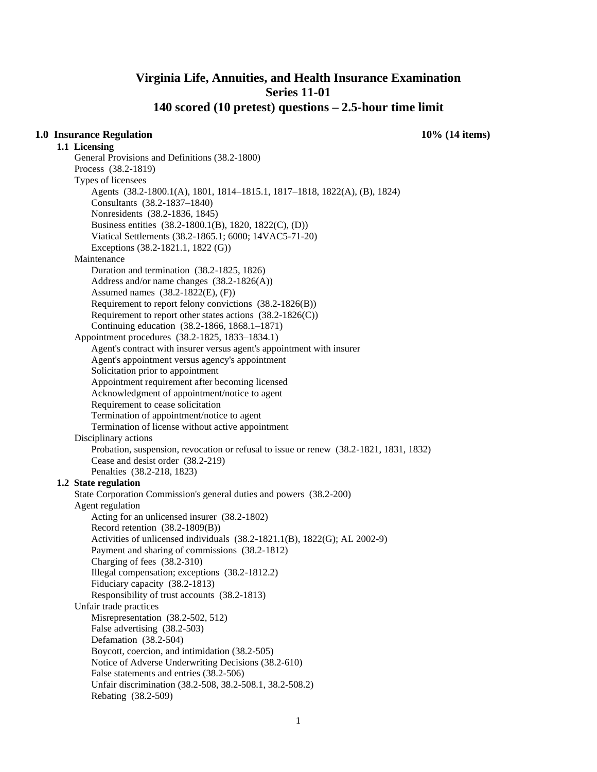# **Virginia Life, Annuities, and Health Insurance Examination Series 11-01 140 scored (10 pretest) questions – 2.5-hour time limit**

## **1.0 Insurance Regulation 10% (14 items)**

**1.1 Licensing** 

General Provisions and Definitions (38.2-1800) Process (38.2-1819) Types of licensees Agents (38.2-1800.1(A), 1801, 1814–1815.1, 1817–1818, 1822(A), (B), 1824) Consultants (38.2-1837–1840) Nonresidents (38.2-1836, 1845) Business entities (38.2-1800.1(B), 1820, 1822(C), (D)) Viatical Settlements (38.2-1865.1; 6000; 14VAC5-71-20) Exceptions (38.2-1821.1, 1822 (G)) Maintenance Duration and termination (38.2-1825, 1826) Address and/or name changes (38.2-1826(A)) Assumed names (38.2-1822(E), (F)) Requirement to report felony convictions (38.2-1826(B)) Requirement to report other states actions (38.2-1826(C)) Continuing education (38.2-1866, 1868.1–1871) Appointment procedures (38.2-1825, 1833–1834.1) Agent's contract with insurer versus agent's appointment with insurer Agent's appointment versus agency's appointment Solicitation prior to appointment Appointment requirement after becoming licensed Acknowledgment of appointment/notice to agent Requirement to cease solicitation Termination of appointment/notice to agent Termination of license without active appointment Disciplinary actions Probation, suspension, revocation or refusal to issue or renew (38.2-1821, 1831, 1832) Cease and desist order (38.2-219) Penalties (38.2-218, 1823) **1.2 State regulation**  State Corporation Commission's general duties and powers (38.2-200) Agent regulation Acting for an unlicensed insurer (38.2-1802) Record retention (38.2-1809(B)) Activities of unlicensed individuals (38.2-1821.1(B), 1822(G); AL 2002-9) Payment and sharing of commissions (38.2-1812) Charging of fees (38.2-310) Illegal compensation; exceptions (38.2-1812.2) Fiduciary capacity (38.2-1813) Responsibility of trust accounts (38.2-1813) Unfair trade practices Misrepresentation (38.2-502, 512) False advertising (38.2-503) Defamation (38.2-504) Boycott, coercion, and intimidation (38.2-505) Notice of Adverse Underwriting Decisions (38.2-610) False statements and entries (38.2-506) Unfair discrimination (38.2-508, 38.2-508.1, 38.2-508.2) Rebating (38.2-509)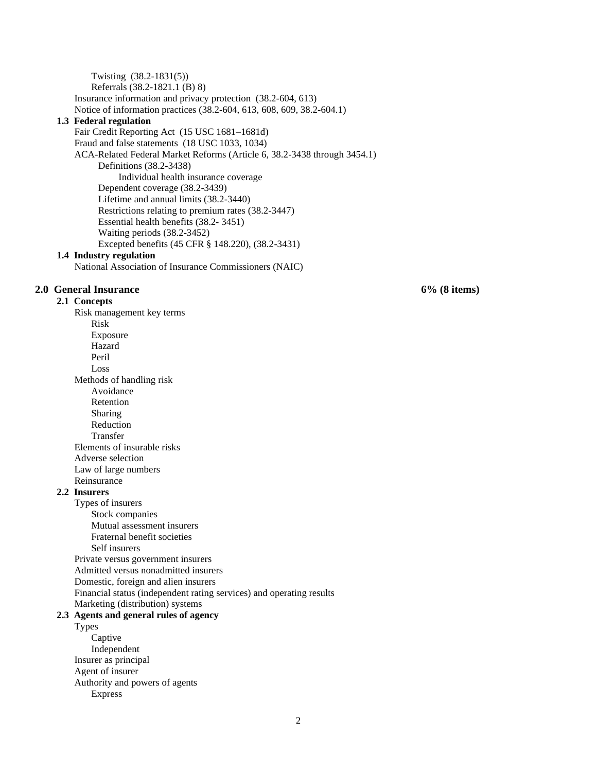Twisting (38.2-1831(5)) Referrals (38.2-1821.1 (B) 8) Insurance information and privacy protection (38.2-604, 613) Notice of information practices (38.2-604, 613, 608, 609, 38.2-604.1) **1.3 Federal regulation**  Fair Credit Reporting Act (15 USC 1681–1681d) Fraud and false statements (18 USC 1033, 1034) ACA-Related Federal Market Reforms (Article 6, 38.2-3438 through 3454.1) Definitions (38.2-3438) Individual health insurance coverage Dependent coverage (38.2-3439) Lifetime and annual limits (38.2-3440) Restrictions relating to premium rates (38.2-3447) Essential health benefits (38.2- 3451) Waiting periods (38.2-3452) Excepted benefits (45 CFR § 148.220), (38.2-3431)

#### **1.4 Industry regulation**

National Association of Insurance Commissioners (NAIC)

### **2.0 General Insurance 6% (8 items)**

**2.1 Concepts** 

Risk management key terms Risk Exposure Hazard Peril Loss Methods of handling risk Avoidance Retention Sharing Reduction Transfer Elements of insurable risks Adverse selection Law of large numbers Reinsurance

#### **2.2 Insurers**

Types of insurers Stock companies Mutual assessment insurers Fraternal benefit societies Self insurers Private versus government insurers Admitted versus nonadmitted insurers Domestic, foreign and alien insurers Financial status (independent rating services) and operating results Marketing (distribution) systems

## **2.3 Agents and general rules of agency**

Types Captive Independent Insurer as principal Agent of insurer Authority and powers of agents Express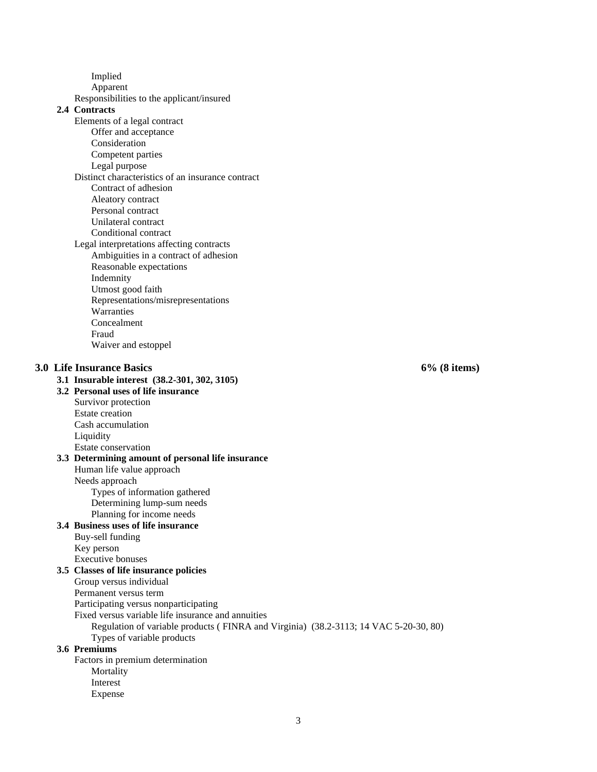Implied

Apparent

Responsibilities to the applicant/insured

# **2.4 Contracts**

- Elements of a legal contract
	- Offer and acceptance
	- Consideration
	- Competent parties
	- Legal purpose
- Distinct characteristics of an insurance contract Contract of adhesion
	- Aleatory contract
	- Personal contract
	- Unilateral contract
	- Conditional contract
- Legal interpretations affecting contracts Ambiguities in a contract of adhesion
	- Reasonable expectations Indemnity
	- Utmost good faith
	- Representations/misrepresentations
	- **Warranties**
	- Concealment
	- Fraud Waiver and estoppel

#### **3.0 Life Insurance Basics 6% (8 items)**

**3.1 Insurable interest (38.2-301, 302, 3105)**

#### **3.2 Personal uses of life insurance**

Survivor protection Estate creation Cash accumulation Liquidity

#### Estate conservation

## **3.3 Determining amount of personal life insurance**

Human life value approach

Needs approach

Types of information gathered

Determining lump-sum needs Planning for income needs

# **3.4 Business uses of life insurance**

Buy-sell funding Key person

Executive bonuses

- **3.5 Classes of life insurance policies** 
	- Group versus individual
	- Permanent versus term

Participating versus nonparticipating

### Fixed versus variable life insurance and annuities

Regulation of variable products ( FINRA and Virginia) (38.2-3113; 14 VAC 5-20-30, 80) Types of variable products

### **3.6 Premiums**

Factors in premium determination

- Mortality
- Interest Expense
	-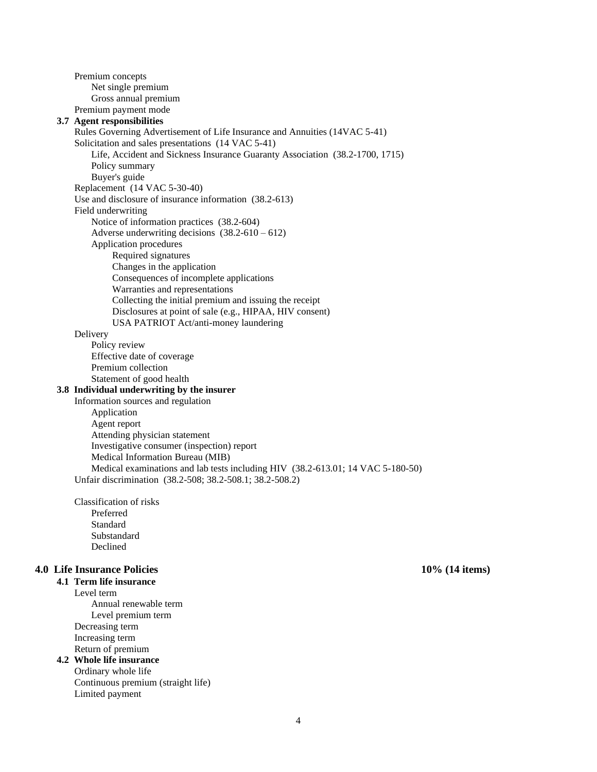Premium concepts Net single premium Gross annual premium Premium payment mode

#### **3.7 Agent responsibilities**

Rules Governing Advertisement of Life Insurance and Annuities (14VAC 5-41) Solicitation and sales presentations (14 VAC 5-41) Life, Accident and Sickness Insurance Guaranty Association (38.2-1700, 1715) Policy summary Buyer's guide Replacement (14 VAC 5-30-40) Use and disclosure of insurance information (38.2-613) Field underwriting Notice of information practices (38.2-604) Adverse underwriting decisions  $(38.2-610-612)$ Application procedures Required signatures Changes in the application Consequences of incomplete applications Warranties and representations Collecting the initial premium and issuing the receipt Disclosures at point of sale (e.g., HIPAA, HIV consent) USA PATRIOT Act/anti-money laundering Delivery Policy review Effective date of coverage Premium collection Statement of good health **3.8 Individual underwriting by the insurer**  Information sources and regulation Application Agent report Attending physician statement Investigative consumer (inspection) report Medical Information Bureau (MIB) Medical examinations and lab tests including HIV (38.2-613.01; 14 VAC 5-180-50) Unfair discrimination (38.2-508; 38.2-508.1; 38.2-508.2)

Classification of risks Preferred Standard Substandard Declined

## **4.0 Life Insurance Policies 10% (14 items)**

**4.1 Term life insurance** 

Level term Annual renewable term Level premium term Decreasing term Increasing term Return of premium

# **4.2 Whole life insurance**

Ordinary whole life Continuous premium (straight life) Limited payment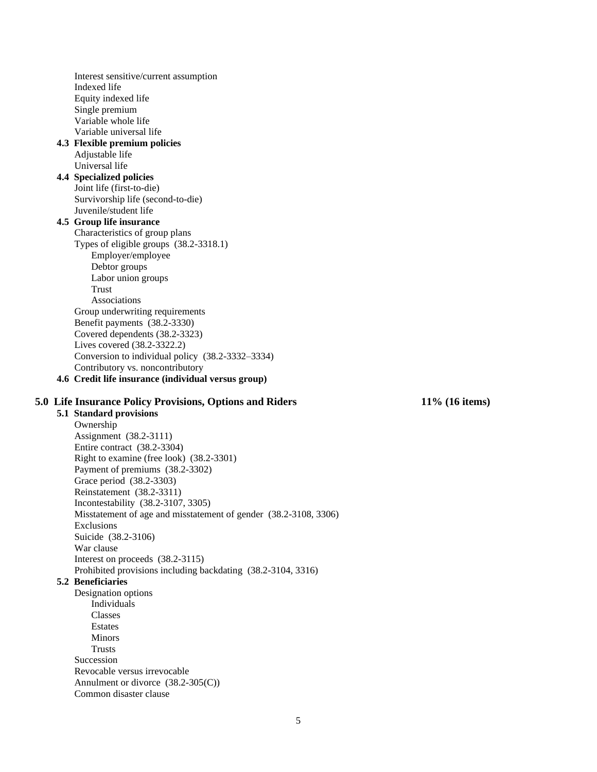Interest sensitive/current assumption Indexed life Equity indexed life Single premium Variable whole life Variable universal life **4.3 Flexible premium policies**  Adjustable life Universal life **4.4 Specialized policies**  Joint life (first-to-die) Survivorship life (second-to-die) Juvenile/student life **4.5 Group life insurance**  Characteristics of group plans Types of eligible groups (38.2-3318.1) Employer/employee Debtor groups Labor union groups Trust Associations Group underwriting requirements Benefit payments (38.2-3330) Covered dependents (38.2-3323) Lives covered (38.2-3322.2) Conversion to individual policy (38.2-3332–3334) Contributory vs. noncontributory **4.6 Credit life insurance (individual versus group)** 

## **5.0 Life Insurance Policy Provisions, Options and Riders 11% (16 items)**

**5.1 Standard provisions**  Ownership Assignment (38.2-3111) Entire contract (38.2-3304) Right to examine (free look) (38.2-3301) Payment of premiums (38.2-3302) Grace period (38.2-3303) Reinstatement (38.2-3311) Incontestability (38.2-3107, 3305) Misstatement of age and misstatement of gender (38.2-3108, 3306) Exclusions Suicide (38.2-3106) War clause Interest on proceeds (38.2-3115) Prohibited provisions including backdating (38.2-3104, 3316) **5.2 Beneficiaries** 

Designation options Individuals Classes Estates Minors Trusts Succession Revocable versus irrevocable Annulment or divorce (38.2-305(C)) Common disaster clause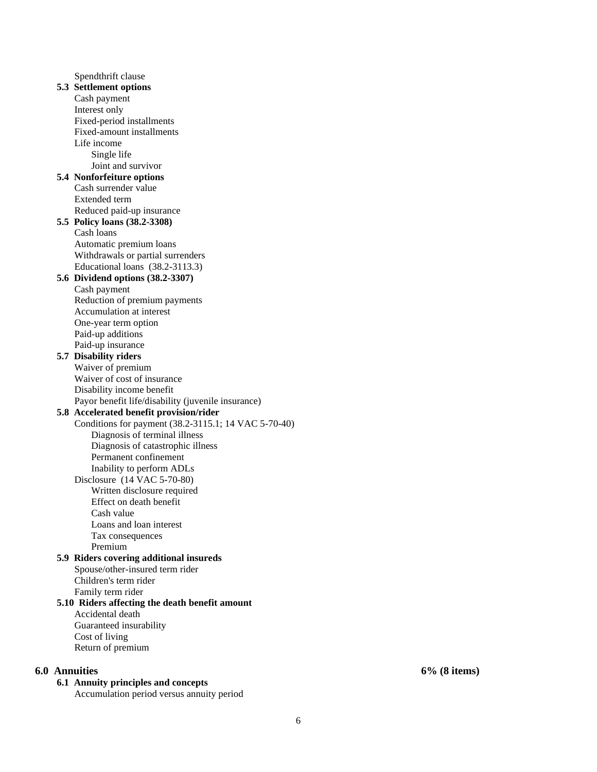Spendthrift clause **5.3 Settlement options**  Cash payment Interest only Fixed-period installments Fixed-amount installments Life income Single life Joint and survivor **5.4 Nonforfeiture options**  Cash surrender value Extended term Reduced paid-up insurance **5.5 Policy loans (38.2-3308)** Cash loans Automatic premium loans Withdrawals or partial surrenders Educational loans (38.2-3113.3) **5.6 Dividend options (38.2-3307)**  Cash payment Reduction of premium payments Accumulation at interest One-year term option Paid-up additions Paid-up insurance **5.7 Disability riders**  Waiver of premium Waiver of cost of insurance Disability income benefit Payor benefit life/disability (juvenile insurance) **5.8 Accelerated benefit provision/rider**  Conditions for payment (38.2-3115.1; 14 VAC 5-70-40) Diagnosis of terminal illness Diagnosis of catastrophic illness Permanent confinement Inability to perform ADLs Disclosure (14 VAC 5-70-80) Written disclosure required Effect on death benefit Cash value Loans and loan interest Tax consequences Premium **5.9 Riders covering additional insureds**  Spouse/other-insured term rider Children's term rider Family term rider **5.10 Riders affecting the death benefit amount**  Accidental death Guaranteed insurability Cost of living Return of premium

## **6.0 Annuities 6% (8 items)**

## **6.1 Annuity principles and concepts**

Accumulation period versus annuity period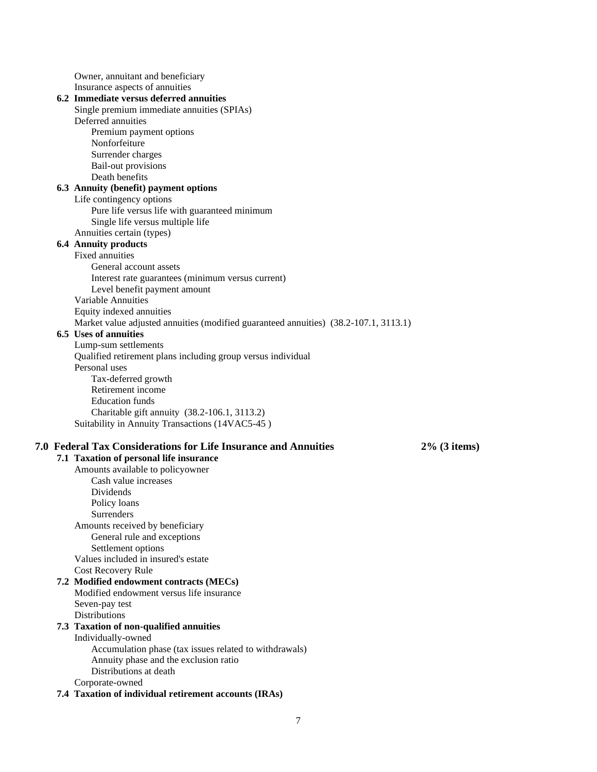Owner, annuitant and beneficiary Insurance aspects of annuities

# **6.2 Immediate versus deferred annuities**

- Single premium immediate annuities (SPIAs) Deferred annuities Premium payment options
	- Nonforfeiture Surrender charges
	- Bail-out provisions
	- Death benefits

## **6.3 Annuity (benefit) payment options**

Life contingency options

Pure life versus life with guaranteed minimum Single life versus multiple life

Annuities certain (types)

# **6.4 Annuity products**

## Fixed annuities

General account assets Interest rate guarantees (minimum versus current) Level benefit payment amount Variable Annuities Equity indexed annuities

Market value adjusted annuities (modified guaranteed annuities) (38.2-107.1, 3113.1)

## **6.5 Uses of annuities**

Lump-sum settlements Qualified retirement plans including group versus individual Personal uses Tax-deferred growth Retirement income Education funds Charitable gift annuity (38.2-106.1, 3113.2) Suitability in Annuity Transactions (14VAC5-45 )

## **7.0 Federal Tax Considerations for Life Insurance and Annuities 2% (3 items)**

## **7.1 Taxation of personal life insurance**  Amounts available to policyowner Cash value increases Dividends Policy loans Surrenders Amounts received by beneficiary General rule and exceptions Settlement options Values included in insured's estate Cost Recovery Rule **7.2 Modified endowment contracts (MECs)**  Modified endowment versus life insurance Seven-pay test **Distributions 7.3 Taxation of non-qualified annuities**  Individually-owned Accumulation phase (tax issues related to withdrawals) Annuity phase and the exclusion ratio Distributions at death Corporate-owned **7.4 Taxation of individual retirement accounts (IRAs)**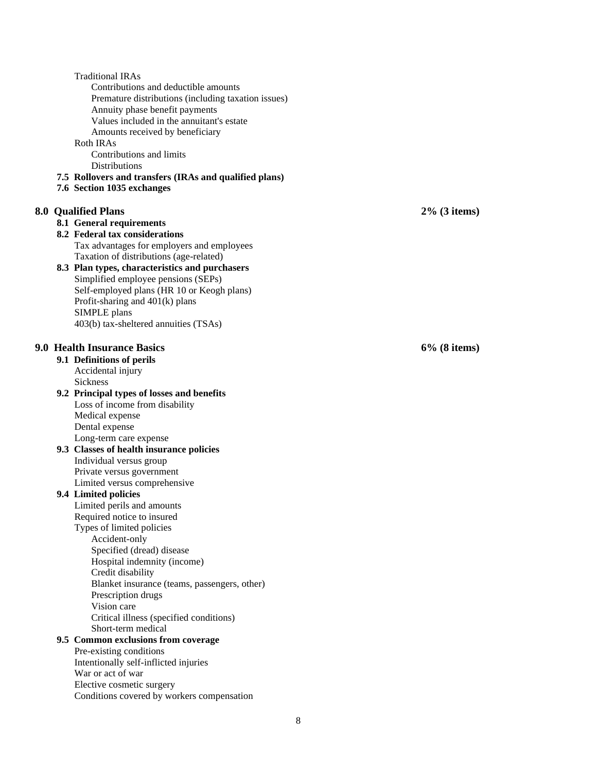|  | <b>Traditional IRAs</b>                                |   |                 |
|--|--------------------------------------------------------|---|-----------------|
|  | Contributions and deductible amounts                   |   |                 |
|  | Premature distributions (including taxation issues)    |   |                 |
|  | Annuity phase benefit payments                         |   |                 |
|  | Values included in the annuitant's estate              |   |                 |
|  |                                                        |   |                 |
|  | Amounts received by beneficiary                        |   |                 |
|  | Roth IRAs                                              |   |                 |
|  | Contributions and limits                               |   |                 |
|  | <b>Distributions</b>                                   |   |                 |
|  | 7.5 Rollovers and transfers (IRAs and qualified plans) |   |                 |
|  | 7.6 Section 1035 exchanges                             |   |                 |
|  |                                                        |   |                 |
|  | 8.0 Qualified Plans                                    |   | $2\%$ (3 items) |
|  |                                                        |   |                 |
|  | 8.1 General requirements                               |   |                 |
|  | 8.2 Federal tax considerations                         |   |                 |
|  | Tax advantages for employers and employees             |   |                 |
|  | Taxation of distributions (age-related)                |   |                 |
|  | 8.3 Plan types, characteristics and purchasers         |   |                 |
|  | Simplified employee pensions (SEPs)                    |   |                 |
|  | Self-employed plans (HR 10 or Keogh plans)             |   |                 |
|  | Profit-sharing and 401(k) plans                        |   |                 |
|  |                                                        |   |                 |
|  | SIMPLE plans                                           |   |                 |
|  | 403(b) tax-sheltered annuities (TSAs)                  |   |                 |
|  |                                                        |   |                 |
|  | 9.0 Health Insurance Basics                            |   | $6\%$ (8 items) |
|  | 9.1 Definitions of perils                              |   |                 |
|  | Accidental injury                                      |   |                 |
|  | Sickness                                               |   |                 |
|  |                                                        |   |                 |
|  | 9.2 Principal types of losses and benefits             |   |                 |
|  | Loss of income from disability                         |   |                 |
|  | Medical expense                                        |   |                 |
|  | Dental expense                                         |   |                 |
|  | Long-term care expense                                 |   |                 |
|  | 9.3 Classes of health insurance policies               |   |                 |
|  | Individual versus group                                |   |                 |
|  | Private versus government                              |   |                 |
|  | Limited versus comprehensive                           |   |                 |
|  |                                                        |   |                 |
|  | 9.4 Limited policies                                   |   |                 |
|  | Limited perils and amounts                             |   |                 |
|  | Required notice to insured                             |   |                 |
|  | Types of limited policies                              |   |                 |
|  | Accident-only                                          |   |                 |
|  | Specified (dread) disease                              |   |                 |
|  | Hospital indemnity (income)                            |   |                 |
|  | Credit disability                                      |   |                 |
|  | Blanket insurance (teams, passengers, other)           |   |                 |
|  | Prescription drugs                                     |   |                 |
|  |                                                        |   |                 |
|  | Vision care                                            |   |                 |
|  | Critical illness (specified conditions)                |   |                 |
|  | Short-term medical                                     |   |                 |
|  | 9.5 Common exclusions from coverage                    |   |                 |
|  | Pre-existing conditions                                |   |                 |
|  | Intentionally self-inflicted injuries                  |   |                 |
|  | War or act of war                                      |   |                 |
|  | Elective cosmetic surgery                              |   |                 |
|  | Conditions covered by workers compensation             |   |                 |
|  |                                                        |   |                 |
|  |                                                        |   |                 |
|  |                                                        | 8 |                 |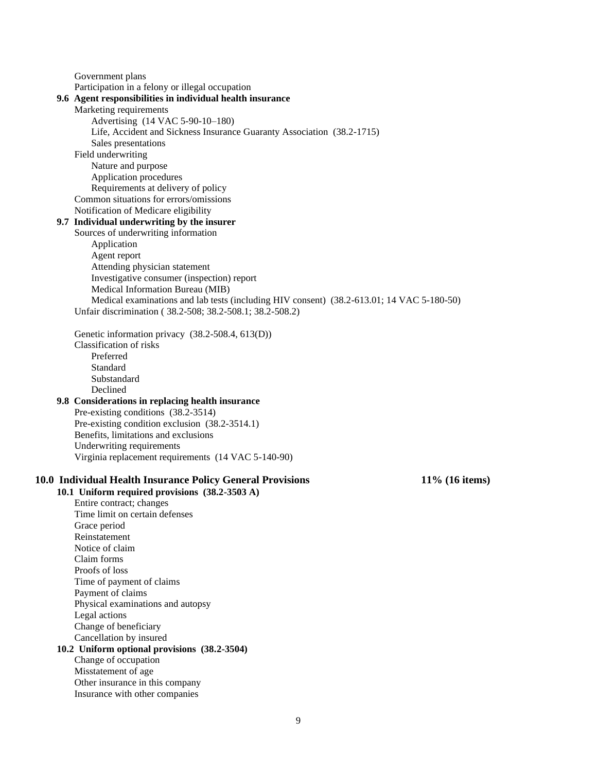Government plans Participation in a felony or illegal occupation **9.6 Agent responsibilities in individual health insurance**  Marketing requirements Advertising (14 VAC 5-90-10–180) Life, Accident and Sickness Insurance Guaranty Association (38.2-1715) Sales presentations Field underwriting Nature and purpose Application procedures Requirements at delivery of policy Common situations for errors/omissions Notification of Medicare eligibility **9.7 Individual underwriting by the insurer**  Sources of underwriting information Application Agent report Attending physician statement Investigative consumer (inspection) report Medical Information Bureau (MIB) Medical examinations and lab tests (including HIV consent) (38.2-613.01; 14 VAC 5-180-50) Unfair discrimination ( 38.2-508; 38.2-508.1; 38.2-508.2) Genetic information privacy (38.2-508.4, 613(D)) Classification of risks Preferred Standard Substandard Declined **9.8 Considerations in replacing health insurance**  Pre-existing conditions (38.2-3514) Pre-existing condition exclusion (38.2-3514.1) Benefits, limitations and exclusions Underwriting requirements Virginia replacement requirements (14 VAC 5-140-90) **10.0 Individual Health Insurance Policy General Provisions 11% (16 items) 10.1 Uniform required provisions (38.2-3503 A)** Entire contract; changes Time limit on certain defenses Grace period Reinstatement Notice of claim Claim forms Proofs of loss Time of payment of claims Payment of claims Physical examinations and autopsy Legal actions Change of beneficiary Cancellation by insured **10.2 Uniform optional provisions (38.2-3504)** Change of occupation Misstatement of age Other insurance in this company Insurance with other companies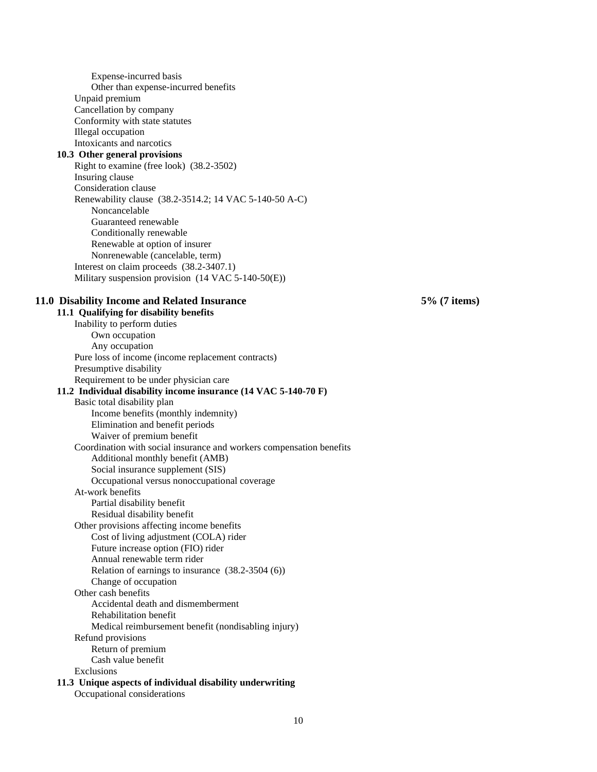Expense-incurred basis Other than expense-incurred benefits Unpaid premium Cancellation by company Conformity with state statutes Illegal occupation Intoxicants and narcotics **10.3 Other general provisions**  Right to examine (free look) (38.2-3502) Insuring clause Consideration clause Renewability clause (38.2-3514.2; 14 VAC 5-140-50 A-C) Noncancelable Guaranteed renewable Conditionally renewable Renewable at option of insurer Nonrenewable (cancelable, term) Interest on claim proceeds (38.2-3407.1) Military suspension provision (14 VAC 5-140-50(E)) **11.0 Disability Income and Related Insurance 5% (7 items) 11.1 Qualifying for disability benefits**  Inability to perform duties Own occupation Any occupation Pure loss of income (income replacement contracts) Presumptive disability Requirement to be under physician care **11.2 Individual disability income insurance (14 VAC 5-140-70 F)**  Basic total disability plan Income benefits (monthly indemnity) Elimination and benefit periods Waiver of premium benefit Coordination with social insurance and workers compensation benefits Additional monthly benefit (AMB) Social insurance supplement (SIS) Occupational versus nonoccupational coverage At-work benefits Partial disability benefit Residual disability benefit Other provisions affecting income benefits Cost of living adjustment (COLA) rider Future increase option (FIO) rider Annual renewable term rider Relation of earnings to insurance (38.2-3504 (6)) Change of occupation Other cash benefits Accidental death and dismemberment Rehabilitation benefit Medical reimbursement benefit (nondisabling injury) Refund provisions Return of premium Cash value benefit Exclusions **11.3 Unique aspects of individual disability underwriting** 

Occupational considerations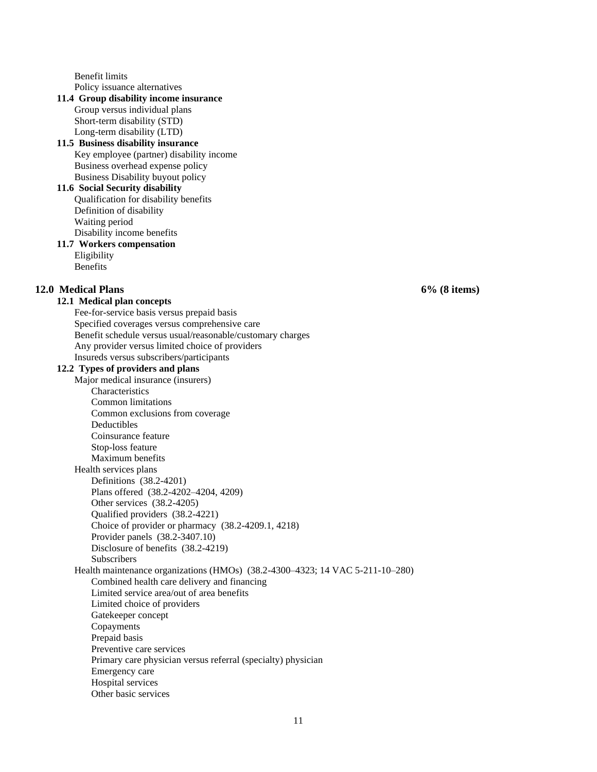Benefit limits Policy issuance alternatives

## **11.4 Group disability income insurance**

Group versus individual plans Short-term disability (STD) Long-term disability (LTD)

## **11.5 Business disability insurance**  Key employee (partner) disability income Business overhead expense policy Business Disability buyout policy

#### **11.6 Social Security disability**  Qualification for disability benefits

Definition of disability Waiting period Disability income benefits

#### **11.7 Workers compensation**  Eligibility

Benefits

## **12.0 Medical Plans 6% (8 items)**

## **12.1 Medical plan concepts**

Fee-for-service basis versus prepaid basis Specified coverages versus comprehensive care Benefit schedule versus usual/reasonable/customary charges Any provider versus limited choice of providers Insureds versus subscribers/participants

## **12.2 Types of providers and plans**

Major medical insurance (insurers) **Characteristics** Common limitations Common exclusions from coverage Deductibles Coinsurance feature Stop-loss feature Maximum benefits Health services plans Definitions (38.2-4201) Plans offered (38.2-4202–4204, 4209) Other services (38.2-4205) Qualified providers (38.2-4221) Choice of provider or pharmacy (38.2-4209.1, 4218) Provider panels (38.2-3407.10) Disclosure of benefits (38.2-4219) **Subscribers** Health maintenance organizations (HMOs) (38.2-4300–4323; 14 VAC 5-211-10–280) Combined health care delivery and financing Limited service area/out of area benefits Limited choice of providers Gatekeeper concept Copayments Prepaid basis Preventive care services Primary care physician versus referral (specialty) physician Emergency care Hospital services Other basic services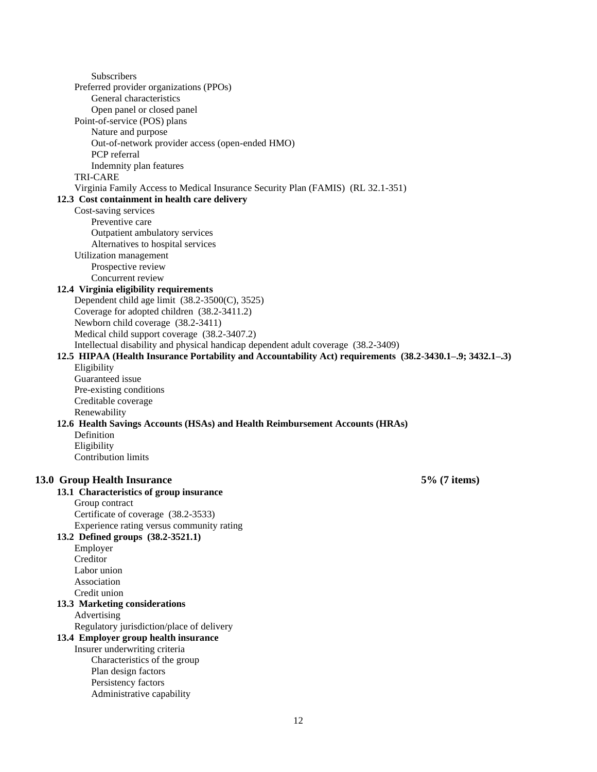Subscribers Preferred provider organizations (PPOs) General characteristics Open panel or closed panel Point-of-service (POS) plans Nature and purpose Out-of-network provider access (open-ended HMO) PCP referral Indemnity plan features TRI-CARE Virginia Family Access to Medical Insurance Security Plan (FAMIS) (RL 32.1-351) **12.3 Cost containment in health care delivery**  Cost-saving services Preventive care Outpatient ambulatory services Alternatives to hospital services Utilization management Prospective review Concurrent review **12.4 Virginia eligibility requirements**  Dependent child age limit (38.2-3500(C), 3525) Coverage for adopted children (38.2-3411.2) Newborn child coverage (38.2-3411) Medical child support coverage (38.2-3407.2) Intellectual disability and physical handicap dependent adult coverage (38.2-3409) **12.5 HIPAA (Health Insurance Portability and Accountability Act) requirements (38.2-3430.1–.9; 3432.1–.3)** Eligibility Guaranteed issue Pre-existing conditions Creditable coverage Renewability **12.6 Health Savings Accounts (HSAs) and Health Reimbursement Accounts (HRAs)** Definition Eligibility Contribution limits **13.0 Group Health Insurance 5% (7 items) 13.1 Characteristics of group insurance**  Group contract Certificate of coverage (38.2-3533) Experience rating versus community rating **13.2 Defined groups (38.2-3521.1)**  Employer Creditor Labor union Association Credit union **13.3 Marketing considerations**  Advertising Regulatory jurisdiction/place of delivery **13.4 Employer group health insurance**  Insurer underwriting criteria Characteristics of the group Plan design factors Persistency factors Administrative capability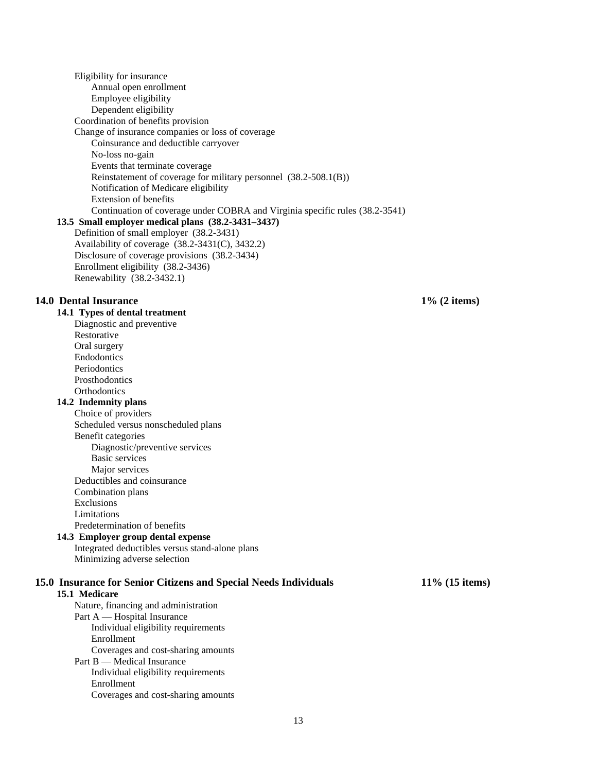Eligibility for insurance Annual open enrollment Employee eligibility Dependent eligibility Coordination of benefits provision Change of insurance companies or loss of coverage Coinsurance and deductible carryover No-loss no-gain Events that terminate coverage Reinstatement of coverage for military personnel (38.2-508.1(B)) Notification of Medicare eligibility Extension of benefits Continuation of coverage under COBRA and Virginia specific rules (38.2-3541) **13.5 Small employer medical plans (38.2-3431–3437)** Definition of small employer (38.2-3431) Availability of coverage (38.2-3431(C), 3432.2) Disclosure of coverage provisions (38.2-3434) Enrollment eligibility (38.2-3436) Renewability (38.2-3432.1) **14.0 Dental Insurance 1% (2 items) 14.1 Types of dental treatment**  Diagnostic and preventive Restorative Oral surgery Endodontics Periodontics Prosthodontics **Orthodontics 14.2 Indemnity plans**  Choice of providers Scheduled versus nonscheduled plans Benefit categories Diagnostic/preventive services Basic services Major services Deductibles and coinsurance Combination plans Exclusions Limitations Predetermination of benefits **14.3 Employer group dental expense**  Integrated deductibles versus stand-alone plans Minimizing adverse selection **15.0 Insurance for Senior Citizens and Special Needs Individuals 11% (15 items) 15.1 Medicare**  Nature, financing and administration Part A — Hospital Insurance Individual eligibility requirements Enrollment Coverages and cost-sharing amounts Part B — Medical Insurance Individual eligibility requirements Enrollment Coverages and cost-sharing amounts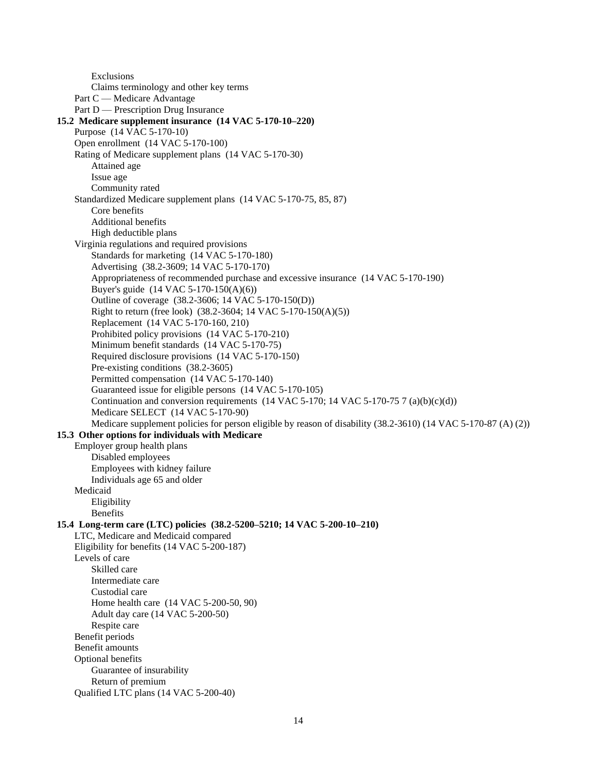Exclusions Claims terminology and other key terms Part C — Medicare Advantage Part D — Prescription Drug Insurance **15.2 Medicare supplement insurance (14 VAC 5-170-10–220)** Purpose (14 VAC 5-170-10) Open enrollment (14 VAC 5-170-100) Rating of Medicare supplement plans (14 VAC 5-170-30) Attained age Issue age Community rated Standardized Medicare supplement plans (14 VAC 5-170-75, 85, 87) Core benefits Additional benefits High deductible plans Virginia regulations and required provisions Standards for marketing (14 VAC 5-170-180) Advertising (38.2-3609; 14 VAC 5-170-170) Appropriateness of recommended purchase and excessive insurance (14 VAC 5-170-190) Buyer's guide (14 VAC 5-170-150(A)(6)) Outline of coverage (38.2-3606; 14 VAC 5-170-150(D)) Right to return (free look) (38.2-3604; 14 VAC 5-170-150(A)(5)) Replacement (14 VAC 5-170-160, 210) Prohibited policy provisions (14 VAC 5-170-210) Minimum benefit standards (14 VAC 5-170-75) Required disclosure provisions (14 VAC 5-170-150) Pre-existing conditions (38.2-3605) Permitted compensation (14 VAC 5-170-140) Guaranteed issue for eligible persons (14 VAC 5-170-105) Continuation and conversion requirements  $(14 \text{ VAC } 5-170; 14 \text{ VAC } 5-170-75 \text{ 7 (a)(b)(c)(d))}$ Medicare SELECT (14 VAC 5-170-90) Medicare supplement policies for person eligible by reason of disability (38.2-3610) (14 VAC 5-170-87 (A) (2)) **15.3 Other options for individuals with Medicare**  Employer group health plans Disabled employees Employees with kidney failure Individuals age 65 and older Medicaid Eligibility Benefits **15.4 Long-term care (LTC) policies (38.2-5200–5210; 14 VAC 5-200-10–210)** LTC, Medicare and Medicaid compared Eligibility for benefits (14 VAC 5-200-187) Levels of care Skilled care Intermediate care Custodial care Home health care (14 VAC 5-200-50, 90) Adult day care (14 VAC 5-200-50) Respite care Benefit periods Benefit amounts Optional benefits Guarantee of insurability Return of premium Qualified LTC plans (14 VAC 5-200-40)